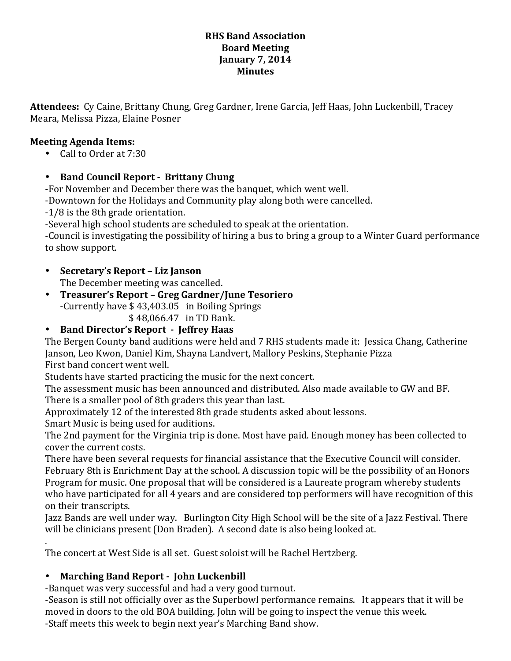#### **RHS Band Association Board Meeting January 7, 2014 Minutes**

Attendees: Cy Caine, Brittany Chung, Greg Gardner, Irene Garcia, Jeff Haas, John Luckenbill, Tracey Meara, Melissa Pizza, Elaine Posner

### **Meeting Agenda Items:**

• Call to Order at 7:30

### • Band Council Report - Brittany Chung

-For November and December there was the banquet, which went well.

-Downtown for the Holidays and Community play along both were cancelled.

-1/8 is the 8th grade orientation.

-Several high school students are scheduled to speak at the orientation.

-Council is investigating the possibility of hiring a bus to bring a group to a Winter Guard performance to show support.

- **Secretary's Report – Liz Janson** The December meeting was cancelled.
- **Treasurer's Report – Greg Gardner/June Tesoriero** -Currently have  $$43,403.05$  in Boiling Springs \$48,066.47 in TD Bank.

# • Band Director's Report - Jeffrey Haas

The Bergen County band auditions were held and 7 RHS students made it: Jessica Chang, Catherine Janson, Leo Kwon, Daniel Kim, Shayna Landvert, Mallory Peskins, Stephanie Pizza First band concert went well.

Students have started practicing the music for the next concert.

The assessment music has been announced and distributed. Also made available to GW and BF.

There is a smaller pool of 8th graders this year than last.

Approximately 12 of the interested 8th grade students asked about lessons.

Smart Music is being used for auditions.

The 2nd payment for the Virginia trip is done. Most have paid. Enough money has been collected to cover the current costs.

There have been several requests for financial assistance that the Executive Council will consider. February 8th is Enrichment Day at the school. A discussion topic will be the possibility of an Honors Program for music. One proposal that will be considered is a Laureate program whereby students who have participated for all 4 years and are considered top performers will have recognition of this on their transcripts.

Jazz Bands are well under way. Burlington City High School will be the site of a Jazz Festival. There will be clinicians present (Don Braden). A second date is also being looked at.

. The concert at West Side is all set. Guest soloist will be Rachel Hertzberg.

## • Marching Band Report - John Luckenbill

-Banquet was very successful and had a very good turnout.

-Season is still not officially over as the Superbowl performance remains. It appears that it will be moved in doors to the old BOA building. John will be going to inspect the venue this week. -Staff meets this week to begin next year's Marching Band show.